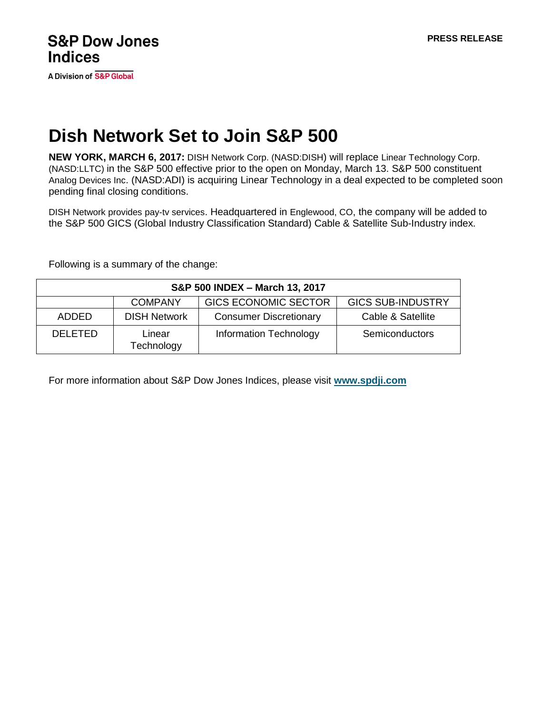A Division of S&P Global

# **Dish Network Set to Join S&P 500**

**NEW YORK, MARCH 6, 2017:** DISH Network Corp. (NASD:DISH) will replace Linear Technology Corp. (NASD:LLTC) in the S&P 500 effective prior to the open on Monday, March 13. S&P 500 constituent Analog Devices Inc. (NASD:ADI) is acquiring Linear Technology in a deal expected to be completed soon pending final closing conditions.

DISH Network provides pay-tv services. Headquartered in Englewood, CO, the company will be added to the S&P 500 GICS (Global Industry Classification Standard) Cable & Satellite Sub-Industry index.

Following is a summary of the change:

| S&P 500 INDEX - March 13, 2017 |                      |                               |                          |
|--------------------------------|----------------------|-------------------------------|--------------------------|
|                                | <b>COMPANY</b>       | <b>GICS ECONOMIC SECTOR</b>   | <b>GICS SUB-INDUSTRY</b> |
| ADDED                          | <b>DISH Network</b>  | <b>Consumer Discretionary</b> | Cable & Satellite        |
| <b>DELETED</b>                 | Linear<br>Technology | <b>Information Technology</b> | Semiconductors           |

For more information about S&P Dow Jones Indices, please visit **[www.spdji.com](http://www.spdji.com/)**